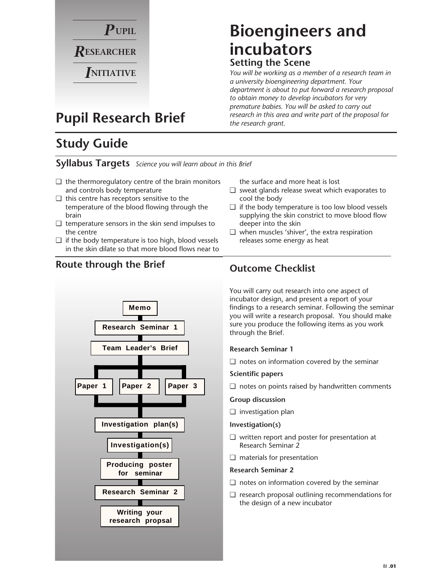

# **Bioengineers and incubators Setting the Scene**

*You will be working as a member of a research team in a university bioengineering department. Your department is about to put forward a research proposal to obtain money to develop incubators for very premature babies. You will be asked to carry out research in this area and write part of the proposal for the research grant.*

# **Pupil Research Brief**

# **Study Guide**

#### **Syllabus Targets** *Science you will learn about in this Brief*

- $\Box$  the thermoregulatory centre of the brain monitors and controls body temperature
- ❑ this centre has receptors sensitive to the temperature of the blood flowing through the brain
- $\Box$  temperature sensors in the skin send impulses to the centre
- $\Box$  if the body temperature is too high, blood vessels in the skin dilate so that more blood flows near to

#### **Outcome Checklist Route through the Brief**



the surface and more heat is lost

- ❑ sweat glands release sweat which evaporates to cool the body
- $\Box$  if the body temperature is too low blood vessels supplying the skin constrict to move blood flow deeper into the skin
- ❑ when muscles 'shiver', the extra respiration releases some energy as heat

You will carry out research into one aspect of incubator design, and present a report of your findings to a research seminar. Following the seminar you will write a research proposal. You should make sure you produce the following items as you work through the Brief.

#### **Research Seminar 1**

❏ notes on information covered by the seminar

#### **Scientific papers**

❏ notes on points raised by handwritten comments

#### **Group discussion**

❏ investigation plan

#### **Investigation(s)**

- ❏ written report and poster for presentation at Research Seminar 2
- ❏ materials for presentation

#### **Research Seminar 2**

- ❏ notes on information covered by the seminar
- ❏ research proposal outlining recommendations for the design of a new incubator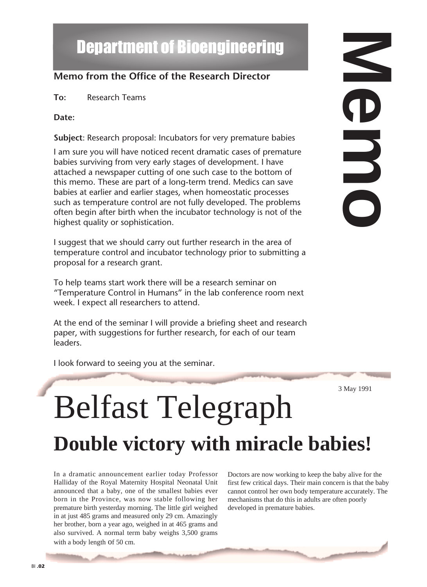# Department of Bioengineering

#### **Memo from the Office of the Research Director**

**To:** Research Teams

#### **Date:**

**Subject**: Research proposal: Incubators for very premature babies

I am sure you will have noticed recent dramatic cases of premature babies surviving from very early stages of development. I have attached a newspaper cutting of one such case to the bottom of this memo. These are part of a long-term trend. Medics can save babies at earlier and earlier stages, when homeostatic processes such as temperature control are not fully developed. The problems often begin after birth when the incubator technology is not of the highest quality or sophistication.

I suggest that we should carry out further research in the area of temperature control and incubator technology prior to submitting a proposal for a research grant.

To help teams start work there will be a research seminar on "Temperature Control in Humans" in the lab conference room next week. I expect all researchers to attend.

At the end of the seminar I will provide a briefing sheet and research paper, with suggestions for further research, for each of our team leaders.

I look forward to seeing you at the seminar. Belfast Telegraph 3 May 1991

**Double victory with miracle babies!**

In a dramatic announcement earlier today Professor Halliday of the Royal Maternity Hospital Neonatal Unit announced that a baby, one of the smallest babies ever born in the Province, was now stable following her premature birth yesterday morning. The little girl weighed in at just 485 grams and measured only 29 cm. Amazingly her brother, born a year ago, weighed in at 465 grams and also survived. A normal term baby weighs 3,500 grams with a body length of 50 cm.

Doctors are now working to keep the baby alive for the first few critical days. Their main concern is that the baby cannot control her own body temperature accurately. The mechanisms that do this in adults are often poorly developed in premature babies.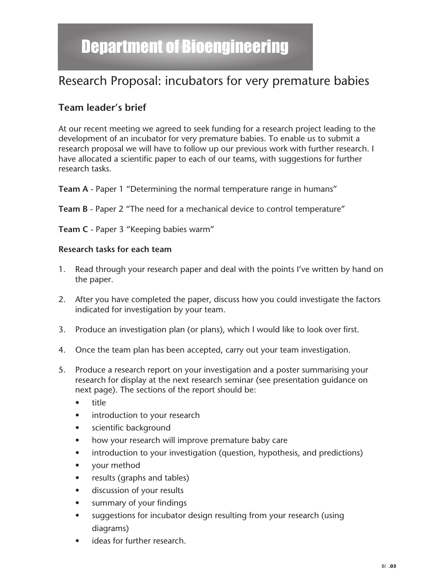# Department of Bioengineering

# Research Proposal: incubators for very premature babies

#### **Team leader's brief**

At our recent meeting we agreed to seek funding for a research project leading to the development of an incubator for very premature babies. To enable us to submit a research proposal we will have to follow up our previous work with further research. I have allocated a scientific paper to each of our teams, with suggestions for further research tasks.

**Team A** - Paper 1 "Determining the normal temperature range in humans"

**Team B** - Paper 2 "The need for a mechanical device to control temperature"

**Team C** - Paper 3 "Keeping babies warm"

#### **Research tasks for each team**

- 1. Read through your research paper and deal with the points I've written by hand on the paper.
- 2. After you have completed the paper, discuss how you could investigate the factors indicated for investigation by your team.
- 3. Produce an investigation plan (or plans), which I would like to look over first.
- 4. Once the team plan has been accepted, carry out your team investigation.
- 5. Produce a research report on your investigation and a poster summarising your research for display at the next research seminar (see presentation guidance on next page). The sections of the report should be:
	- title
	- introduction to your research
	- scientific background
	- how your research will improve premature baby care
	- introduction to your investigation (question, hypothesis, and predictions)
	- your method
	- results (graphs and tables)
	- discussion of your results
	- summary of your findings
	- suggestions for incubator design resulting from your research (using diagrams)
	- ideas for further research.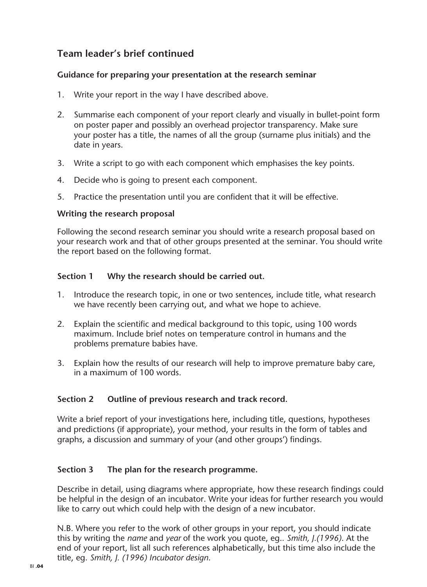#### **Team leader's brief continued**

#### **Guidance for preparing your presentation at the research seminar**

- 1. Write your report in the way I have described above.
- 2. Summarise each component of your report clearly and visually in bullet-point form on poster paper and possibly an overhead projector transparency. Make sure your poster has a title, the names of all the group (surname plus initials) and the date in years.
- 3. Write a script to go with each component which emphasises the key points.
- 4. Decide who is going to present each component.
- 5. Practice the presentation until you are confident that it will be effective.

#### **Writing the research proposal**

Following the second research seminar you should write a research proposal based on your research work and that of other groups presented at the seminar. You should write the report based on the following format.

#### **Section 1 Why the research should be carried out.**

- 1. Introduce the research topic, in one or two sentences, include title, what research we have recently been carrying out, and what we hope to achieve.
- 2. Explain the scientific and medical background to this topic, using 100 words maximum. Include brief notes on temperature control in humans and the problems premature babies have.
- 3. Explain how the results of our research will help to improve premature baby care, in a maximum of 100 words.

#### **Section 2 Outline of previous research and track record.**

Write a brief report of your investigations here, including title, questions, hypotheses and predictions (if appropriate), your method, your results in the form of tables and graphs, a discussion and summary of your (and other groups') findings.

#### **Section 3 The plan for the research programme.**

Describe in detail, using diagrams where appropriate, how these research findings could be helpful in the design of an incubator. Write your ideas for further research you would like to carry out which could help with the design of a new incubator.

N.B. Where you refer to the work of other groups in your report, you should indicate this by writing the *name* and *year* of the work you quote, eg.*. Smith, J.(1996)*. At the end of your report, list all such references alphabetically, but this time also include the title, eg. *Smith, J. (1996) Incubator design*.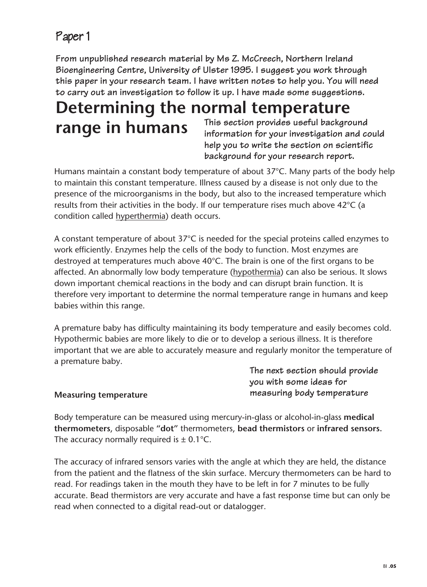## Paper 1

**From unpublished research material by Ms Z. McCreech, Northern Ireland Bioengineering Centre, University of Ulster 1995. I suggest you work through this paper in your research team. I have written notes to help you. You will need to carry out an investigation to follow it up. I have made some suggestions.**

# **Determining the normal temperature range in humans** This section provides useful background<br>information for your investigation and co

**information for your investigation and could help you to write the section on scientific background for your research report.**

Humans maintain a constant body temperature of about 37°C. Many parts of the body help to maintain this constant temperature. Illness caused by a disease is not only due to the presence of the microorganisms in the body, but also to the increased temperature which results from their activities in the body. If our temperature rises much above 42°C (a condition called hyperthermia) death occurs.

A constant temperature of about 37°C is needed for the special proteins called enzymes to work efficiently. Enzymes help the cells of the body to function. Most enzymes are destroyed at temperatures much above 40°C. The brain is one of the first organs to be affected. An abnormally low body temperature (hypothermia) can also be serious. It slows down important chemical reactions in the body and can disrupt brain function. It is therefore very important to determine the normal temperature range in humans and keep babies within this range.

A premature baby has difficulty maintaining its body temperature and easily becomes cold. Hypothermic babies are more likely to die or to develop a serious illness. It is therefore important that we are able to accurately measure and regularly monitor the temperature of a premature baby.

**Measuring temperature**

**The next section should provide you with some ideas for measuring body temperature**

Body temperature can be measured using mercury-in-glass or alcohol-in-glass **medical thermometers**, disposable **"dot"** thermometers, **bead thermistors** or **infrared sensors.** The accuracy normally required is  $\pm$  0.1°C.

The accuracy of infrared sensors varies with the angle at which they are held, the distance from the patient and the flatness of the skin surface. Mercury thermometers can be hard to read. For readings taken in the mouth they have to be left in for 7 minutes to be fully accurate. Bead thermistors are very accurate and have a fast response time but can only be read when connected to a digital read-out or datalogger.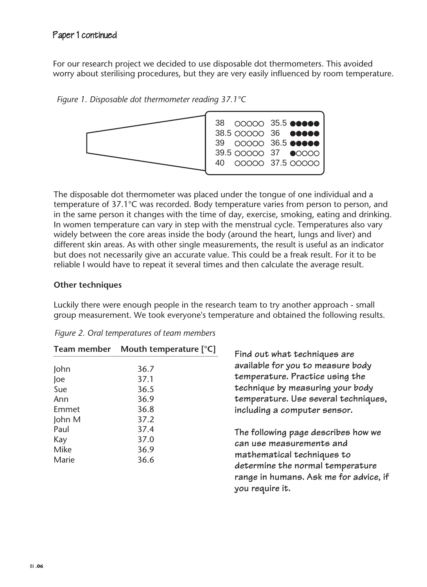For our research project we decided to use disposable dot thermometers. This avoided worry about sterilising procedures, but they are very easily influenced by room temperature.

*Figure 1. Disposable dot thermometer reading 37.1°C*



The disposable dot thermometer was placed under the tongue of one individual and a temperature of 37.1°C was recorded. Body temperature varies from person to person, and in the same person it changes with the time of day, exercise, smoking, eating and drinking. In women temperature can vary in step with the menstrual cycle. Temperatures also vary widely between the core areas inside the body (around the heart, lungs and liver) and different skin areas. As with other single measurements, the result is useful as an indicator but does not necessarily give an accurate value. This could be a freak result. For it to be reliable I would have to repeat it several times and then calculate the average result.

#### **Other techniques**

Luckily there were enough people in the research team to try another approach - small group measurement. We took everyone's temperature and obtained the following results.

| <b>Team member</b>                           | Mouth temperature $[°C]$                     | Find out what techniques are<br>available for you to measure body<br>temperature. Practice using the<br>technique by measuring your body<br>temperature. Use several techniques,<br>including a computer sensor. |
|----------------------------------------------|----------------------------------------------|------------------------------------------------------------------------------------------------------------------------------------------------------------------------------------------------------------------|
| John<br>Joe<br>Sue<br>Ann<br>Emmet<br>John M | 36.7<br>37.1<br>36.5<br>36.9<br>36.8<br>37.2 |                                                                                                                                                                                                                  |
| Paul<br>Kay<br>Mike<br>Marie                 | 37.4<br>37.0<br>36.9<br>36.6                 | The following page describes how we<br>can use measurements and<br>mathematical techniques to<br>determine the normal temperature<br>range in humans. Ask me for advice, if<br>you require it.                   |

*Figure 2. Oral temperatures of team members*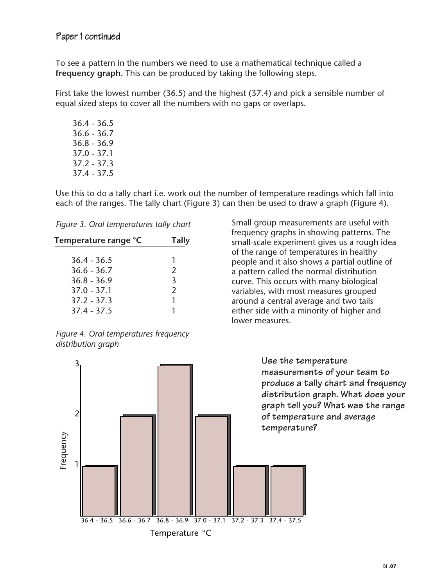To see a pattern in the numbers we need to use a mathematical technique called a **frequency graph.** This can be produced by taking the following steps.

First take the lowest number (36.5) and the highest (37.4) and pick a sensible number of equal sized steps to cover all the numbers with no gaps or overlaps.

36.4 - 36.5 36.6 - 36.7 36.8 - 36.9 37.0 - 37.1 37.2 - 37.3 37.4 - 37.5

Use this to do a tally chart i.e. work out the number of temperature readings which fall into each of the ranges. The tally chart (Figure 3) can then be used to draw a graph (Figure 4).

*Figure 3. Oral temperatures tally chart*

| Temperature range °C | <b>Tally</b>  |
|----------------------|---------------|
| $36.4 - 36.5$        |               |
| $36.6 - 36.7$        | $\mathcal{L}$ |
| $36.8 - 36.9$        | 3             |
| $37.0 - 37.1$        | $\mathcal{P}$ |
| $37.2 - 37.3$        |               |
| $37.4 - 37.5$        |               |

*Figure 4. Oral temperatures frequency distribution graph* 

Small group measurements are useful with frequency graphs in showing patterns. The small-scale experiment gives us a rough idea of the range of temperatures in healthy people and it also shows a partial outline of a pattern called the normal distribution curve. This occurs with many biological variables, with most measures grouped around a central average and two tails either side with a minority of higher and lower measures.

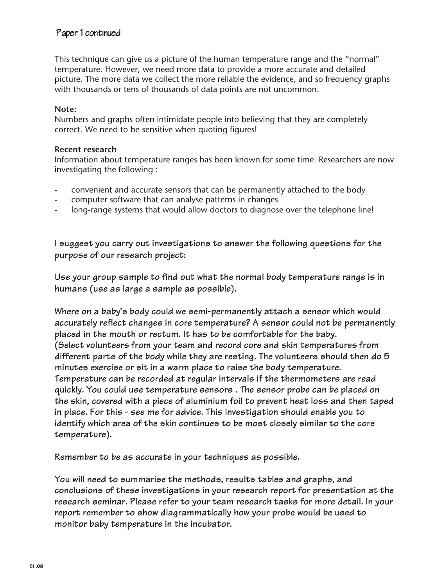#### Paper 1 continued

This technique can give us a picture of the human temperature range and the "normal" temperature. However, we need more data to provide a more accurate and detailed picture. The more data we collect the more reliable the evidence, and so frequency graphs with thousands or tens of thousands of data points are not uncommon.

#### **Note:**

Numbers and graphs often intimidate people into believing that they are completely correct. We need to be sensitive when quoting figures!

#### **Recent research**

Information about temperature ranges has been known for some time. Researchers are now investigating the following :

- convenient and accurate sensors that can be permanently attached to the body
- computer software that can analyse patterns in changes
- long-range systems that would allow doctors to diagnose over the telephone line!

**I suggest you carry out investigations to answer the following questions for the purpose of our research project:**

**Use your group sample to find out what the normal body temperature range is in humans (use as large a sample as possible).** 

**Where on a baby's body could we semi-permanently attach a sensor which would accurately reflect changes in core temperature? A sensor could not be permanently placed in the mouth or rectum. It has to be comfortable for the baby. (Select volunteers from your team and record core and skin temperatures from different parts of the body while they are resting. The volunteers should then do 5 minutes exercise or sit in a warm place to raise the body temperature. Temperature can be recorded at regular intervals if the thermometers are read quickly. You could use temperature sensors . The sensor probe can be placed on the skin, covered with a piece of aluminium foil to prevent heat loss and then taped in place. For this - see me for advice. This investigation should enable you to identify which area of the skin continues to be most closely similar to the core temperature).** 

**Remember to be as accurate in your techniques as possible.**

**You will need to summarise the methods, results tables and graphs, and conclusions of these investigations in your research report for presentation at the research seminar. Please refer to your team research tasks for more detail. In your report remember to show diagrammatically how your probe would be used to monitor baby temperature in the incubator.**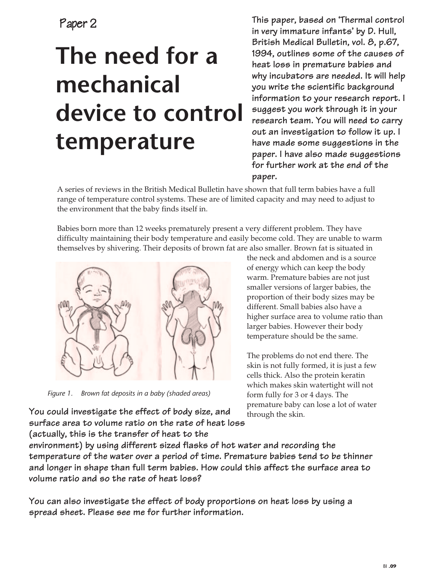Paper 2

# **The need for a mechanical device to control temperature**

**This paper, based on 'Thermal control in very immature infants' by D. Hull, British Medical Bulletin, vol. 8, p.67, 1994, outlines some of the causes of heat loss in premature babies and why incubators are needed. It will help you write the scientific background information to your research report. I suggest you work through it in your research team. You will need to carry out an investigation to follow it up. I have made some suggestions in the paper. I have also made suggestions for further work at the end of the paper.**

A series of reviews in the British Medical Bulletin have shown that full term babies have a full range of temperature control systems. These are of limited capacity and may need to adjust to the environment that the baby finds itself in.

Babies born more than 12 weeks prematurely present a very different problem. They have difficulty maintaining their body temperature and easily become cold. They are unable to warm themselves by shivering. Their deposits of brown fat are also smaller. Brown fat is situated in



*Figure 1. Brown fat deposits in a baby (shaded areas)*

the neck and abdomen and is a source of energy which can keep the body warm. Premature babies are not just smaller versions of larger babies, the proportion of their body sizes may be different. Small babies also have a higher surface area to volume ratio than larger babies. However their body temperature should be the same.

The problems do not end there. The skin is not fully formed, it is just a few cells thick. Also the protein keratin which makes skin watertight will not form fully for 3 or 4 days. The premature baby can lose a lot of water through the skin.

**You could investigate the effect of body size, and surface area to volume ratio on the rate of heat loss (actually, this is the transfer of heat to the**

**environment) by using different sized flasks of hot water and recording the temperature of the water over a period of time. Premature babies tend to be thinner and longer in shape than full term babies. How could this affect the surface area to volume ratio and so the rate of heat loss?**

**You can also investigate the effect of body proportions on heat loss by using a spread sheet. Please see me for further information.**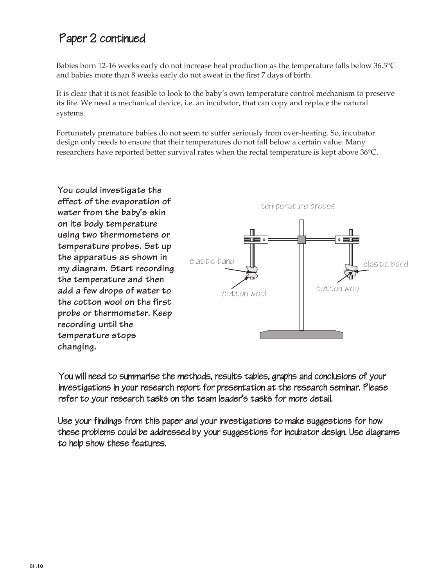# Paper 2 continued

Babies born 12-16 weeks early do not increase heat production as the temperature falls below 36.5°C and babies more than 8 weeks early do not sweat in the first 7 days of birth.

It is clear that it is not feasible to look to the baby's own temperature control mechanism to preserve its life. We need a mechanical device, i.e. an incubator, that can copy and replace the natural systems.

Fortunately premature babies do not seem to suffer seriously from over-heating. So, incubator design only needs to ensure that their temperatures do not fall below a certain value. Many researchers have reported better survival rates when the rectal temperature is kept above 36°C.

**You could investigate the effect of the evaporation of water from the baby's skin on its body temperature using two thermometers or temperature probes. Set up the apparatus as shown in my diagram. Start recording the temperature and then add a few drops of water to the cotton wool on the first probe or thermometer. Keep recording until the temperature stops changing.**



You will need to summarise the methods, results tables, graphs and conclusions of your investigations in your research report for presentation at the research seminar. Please refer to your research tasks on the team leader's tasks for more detail.

Use your findings from this paper and your investigations to make suggestions for how these problems could be addressed by your suggestions for incubator design. Use diagrams to help show these features.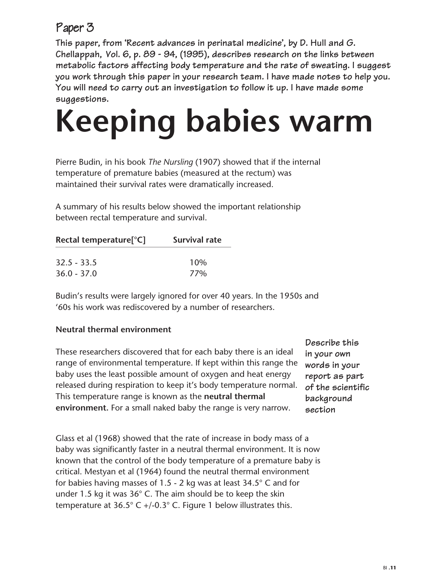# Paper 3

**This paper, from 'Recent advances in perinatal medicine', by D. Hull and G. Chellappah, Vol. 6, p. 89 - 94, (1995), describes research on the links between metabolic factors affecting body temperature and the rate of sweating. I suggest you work through this paper in your research team. I have made notes to help you. You will need to carry out an investigation to follow it up. I have made some suggestions.**

# **Keeping babies warm**

Pierre Budin, in his book *The Nursling* (1907) showed that if the internal temperature of premature babies (measured at the rectum) was maintained their survival rates were dramatically increased.

A summary of his results below showed the important relationship between rectal temperature and survival.

| Rectal temperature[°C] | <b>Survival rate</b> |  |
|------------------------|----------------------|--|
| $32.5 - 33.5$          | 10%                  |  |
| $36.0 - 37.0$          | <b>77%</b>           |  |

Budin's results were largely ignored for over 40 years. In the 1950s and '60s his work was rediscovered by a number of researchers.

#### **Neutral thermal environment**

These researchers discovered that for each baby there is an ideal range of environmental temperature. If kept within this range the baby uses the least possible amount of oxygen and heat energy released during respiration to keep it's body temperature normal. This temperature range is known as the **neutral thermal environment.** For a small naked baby the range is very narrow.

**Describe this in your own words in your report as part of the scientific background section**

Glass et al (1968) showed that the rate of increase in body mass of a baby was significantly faster in a neutral thermal environment. It is now known that the control of the body temperature of a premature baby is critical. Mestyan et al (1964) found the neutral thermal environment for babies having masses of 1.5 - 2 kg was at least 34.5° C and for under 1.5 kg it was 36° C. The aim should be to keep the skin temperature at  $36.5^{\circ}$  C +/-0.3° C. Figure 1 below illustrates this.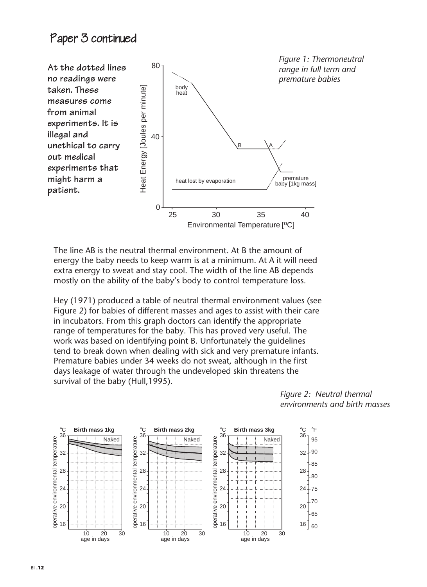### Paper 3 continued



The line AB is the neutral thermal environment. At B the amount of energy the baby needs to keep warm is at a minimum. At A it will need extra energy to sweat and stay cool. The width of the line AB depends mostly on the ability of the baby's body to control temperature loss.

Hey (1971) produced a table of neutral thermal environment values (see Figure 2) for babies of different masses and ages to assist with their care in incubators. From this graph doctors can identify the appropriate range of temperatures for the baby. This has proved very useful. The work was based on identifying point B. Unfortunately the guidelines tend to break down when dealing with sick and very premature infants. Premature babies under 34 weeks do not sweat, although in the first days leakage of water through the undeveloped skin threatens the survival of the baby (Hull,1995).



*Figure 2: Neutral thermal environments and birth masses*